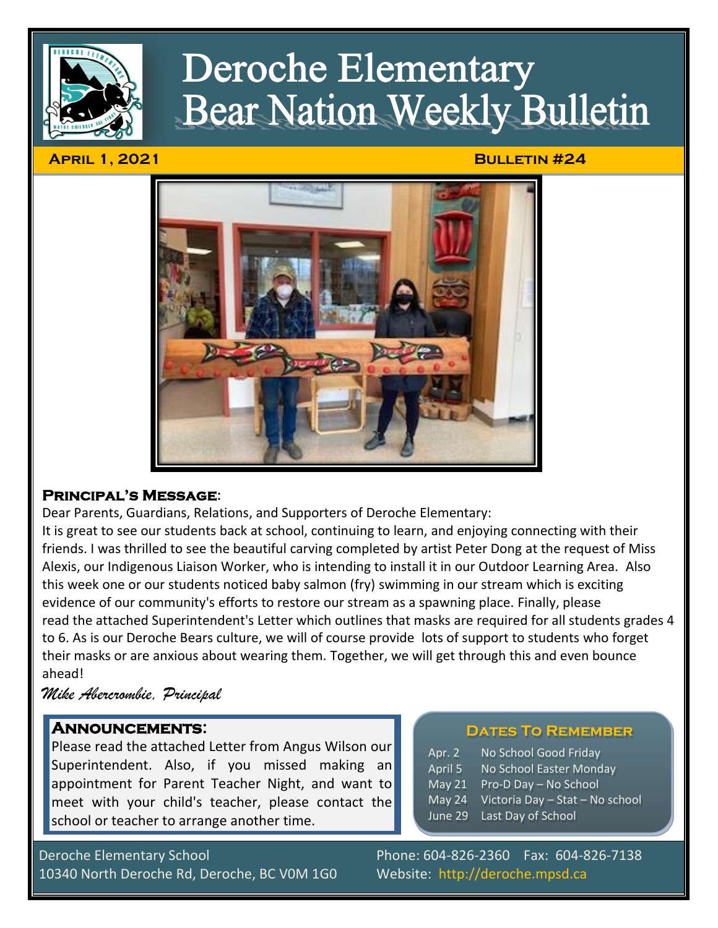

# **Deroche Elementary Bear Nation Weekly Bulletin**

#### **April 1, 2021 Bulletin #24**



## **Principal's Message:**

Dear Parents, Guardians, Relations, and Supporters of Deroche Elementary:

It is great to see our students back at school, continuing to learn, and enjoying connecting with their friends. I was thrilled to see the beautiful carving completed by artist Peter Dong at the request of Miss Alexis, our Indigenous Liaison Worker, who is intending to install it in our Outdoor Learning Area. Also this week one or our students noticed baby salmon (fry) swimming in our stream which is exciting evidence of our community's efforts to restore our stream as a spawning place. Finally, please read the attached Superintendent's Letter which outlines that masks are required for all students grades 4 to 6. As is our Deroche Bears culture, we will of course provide lots of support to students who forget their masks or are anxious about wearing them. Together, we will get through this and even bounce ahead!

# *Mike Abercrombie, Principal*

## **Announcements:**

Please read the attached Letter from Angus Wilson our Superintendent. Also, if you missed making an appointment for Parent Teacher Night, and want to meet with your child's teacher, please contact the school or teacher to arrange another time.

#### **Dates To Remember**

| Apr. 2  | No School Good Friday           |
|---------|---------------------------------|
| April 5 | No School Easter Monday         |
| May 21  | Pro-D Day - No School           |
| May 24  | Victoria Day - Stat - No school |

June 29 Last Day of School

 $Ar$  $M<sub>i</sub>$ 

Deroche Elementary School Phone: 604-826-2360 Fax: 604-826-7138 10340 North Deroche Rd, Deroche, BC V0M 1G0 Website: http://deroche.mpsd.ca